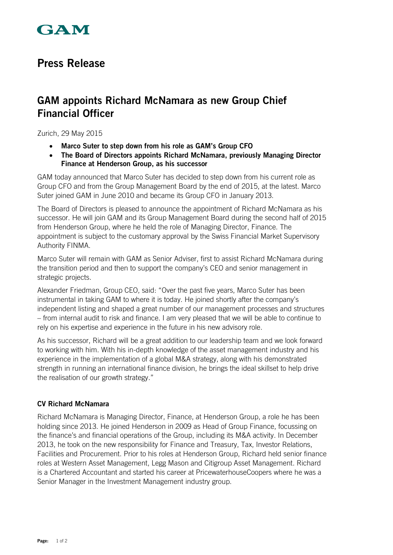

# **Press Release**

# **GAM appoints Richard McNamara as new Group Chief Financial Officer**

Zurich, 29 May 2015

- **Marco Suter to step down from his role as GAM's Group CFO**
- **The Board of Directors appoints Richard McNamara, previously Managing Director Finance at Henderson Group, as his successor**

GAM today announced that Marco Suter has decided to step down from his current role as Group CFO and from the Group Management Board by the end of 2015, at the latest. Marco Suter joined GAM in June 2010 and became its Group CFO in January 2013.

The Board of Directors is pleased to announce the appointment of Richard McNamara as his successor. He will join GAM and its Group Management Board during the second half of 2015 from Henderson Group, where he held the role of Managing Director, Finance. The appointment is subject to the customary approval by the Swiss Financial Market Supervisory Authority FINMA.

Marco Suter will remain with GAM as Senior Adviser, first to assist Richard McNamara during the transition period and then to support the company's CEO and senior management in strategic projects.

Alexander Friedman, Group CEO, said: "Over the past five years, Marco Suter has been instrumental in taking GAM to where it is today. He joined shortly after the company's independent listing and shaped a great number of our management processes and structures – from internal audit to risk and finance. I am very pleased that we will be able to continue to rely on his expertise and experience in the future in his new advisory role.

As his successor, Richard will be a great addition to our leadership team and we look forward to working with him. With his in-depth knowledge of the asset management industry and his experience in the implementation of a global M&A strategy, along with his demonstrated strength in running an international finance division, he brings the ideal skillset to help drive the realisation of our growth strategy."

### **CV Richard McNamara**

Richard McNamara is Managing Director, Finance, at Henderson Group, a role he has been holding since 2013. He joined Henderson in 2009 as Head of Group Finance, focussing on the finance's and financial operations of the Group, including its M&A activity. In December 2013, he took on the new responsibility for Finance and Treasury, Tax, Investor Relations, Facilities and Procurement. Prior to his roles at Henderson Group, Richard held senior finance roles at Western Asset Management, Legg Mason and Citigroup Asset Management. Richard is a Chartered Accountant and started his career at PricewaterhouseCoopers where he was a Senior Manager in the Investment Management industry group.